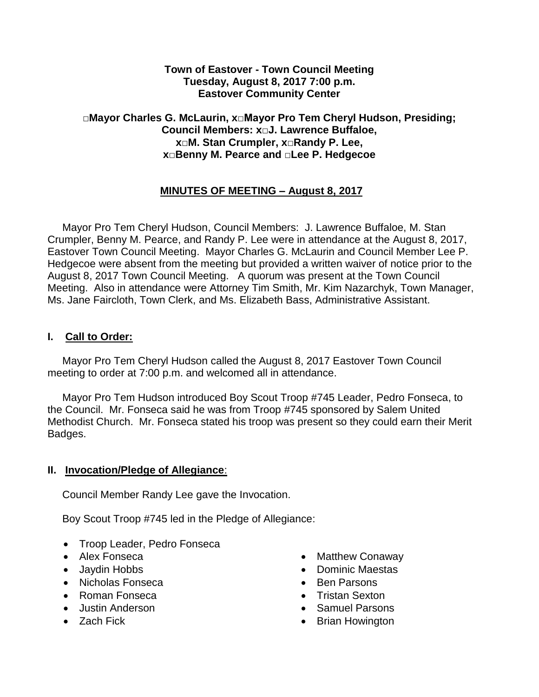#### **Town of Eastover - Town Council Meeting Tuesday, August 8, 2017 7:00 p.m. Eastover Community Center**

#### **□Mayor Charles G. McLaurin, x□Mayor Pro Tem Cheryl Hudson, Presiding; Council Members: x□J. Lawrence Buffaloe, x□M. Stan Crumpler, x□Randy P. Lee, x□Benny M. Pearce and □Lee P. Hedgecoe**

# **MINUTES OF MEETING – August 8, 2017**

 Mayor Pro Tem Cheryl Hudson, Council Members: J. Lawrence Buffaloe, M. Stan Crumpler, Benny M. Pearce, and Randy P. Lee were in attendance at the August 8, 2017, Eastover Town Council Meeting. Mayor Charles G. McLaurin and Council Member Lee P. Hedgecoe were absent from the meeting but provided a written waiver of notice prior to the August 8, 2017 Town Council Meeting. A quorum was present at the Town Council Meeting. Also in attendance were Attorney Tim Smith, Mr. Kim Nazarchyk, Town Manager, Ms. Jane Faircloth, Town Clerk, and Ms. Elizabeth Bass, Administrative Assistant.

# **I. Call to Order:**

 Mayor Pro Tem Cheryl Hudson called the August 8, 2017 Eastover Town Council meeting to order at 7:00 p.m. and welcomed all in attendance.

 Mayor Pro Tem Hudson introduced Boy Scout Troop #745 Leader, Pedro Fonseca, to the Council. Mr. Fonseca said he was from Troop #745 sponsored by Salem United Methodist Church. Mr. Fonseca stated his troop was present so they could earn their Merit Badges.

### **II. Invocation/Pledge of Allegiance**:

Council Member Randy Lee gave the Invocation.

Boy Scout Troop #745 led in the Pledge of Allegiance:

- Troop Leader, Pedro Fonseca
- Alex Fonseca
- Jaydin Hobbs
- Nicholas Fonseca
- Roman Fonseca
- Justin Anderson
- **Zach Fick**
- Matthew Conaway
- Dominic Maestas
- Ben Parsons
- Tristan Sexton
- Samuel Parsons
- Brian Howington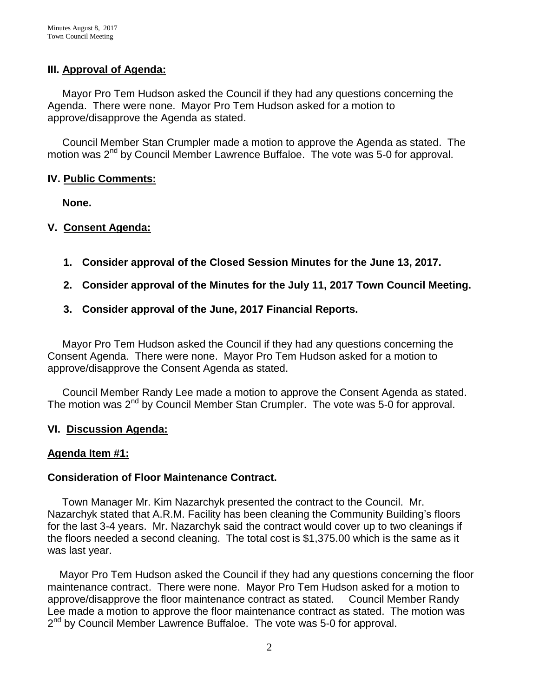### **III. Approval of Agenda:**

 Mayor Pro Tem Hudson asked the Council if they had any questions concerning the Agenda. There were none. Mayor Pro Tem Hudson asked for a motion to approve/disapprove the Agenda as stated.

 Council Member Stan Crumpler made a motion to approve the Agenda as stated. The motion was 2<sup>nd</sup> by Council Member Lawrence Buffaloe. The vote was 5-0 for approval.

## **IV. Public Comments:**

 **None.**

# **V. Consent Agenda:**

- **1. Consider approval of the Closed Session Minutes for the June 13, 2017.**
- **2. Consider approval of the Minutes for the July 11, 2017 Town Council Meeting.**
- **3. Consider approval of the June, 2017 Financial Reports.**

 Mayor Pro Tem Hudson asked the Council if they had any questions concerning the Consent Agenda. There were none. Mayor Pro Tem Hudson asked for a motion to approve/disapprove the Consent Agenda as stated.

 Council Member Randy Lee made a motion to approve the Consent Agenda as stated. The motion was  $2^{nd}$  by Council Member Stan Crumpler. The vote was 5-0 for approval.

### **VI. Discussion Agenda:**

### **Agenda Item #1:**

### **Consideration of Floor Maintenance Contract.**

 Town Manager Mr. Kim Nazarchyk presented the contract to the Council. Mr. Nazarchyk stated that A.R.M. Facility has been cleaning the Community Building's floors for the last 3-4 years. Mr. Nazarchyk said the contract would cover up to two cleanings if the floors needed a second cleaning. The total cost is \$1,375.00 which is the same as it was last year.

 Mayor Pro Tem Hudson asked the Council if they had any questions concerning the floor maintenance contract. There were none. Mayor Pro Tem Hudson asked for a motion to approve/disapprove the floor maintenance contract as stated. Council Member Randy Lee made a motion to approve the floor maintenance contract as stated. The motion was 2<sup>nd</sup> by Council Member Lawrence Buffaloe. The vote was 5-0 for approval.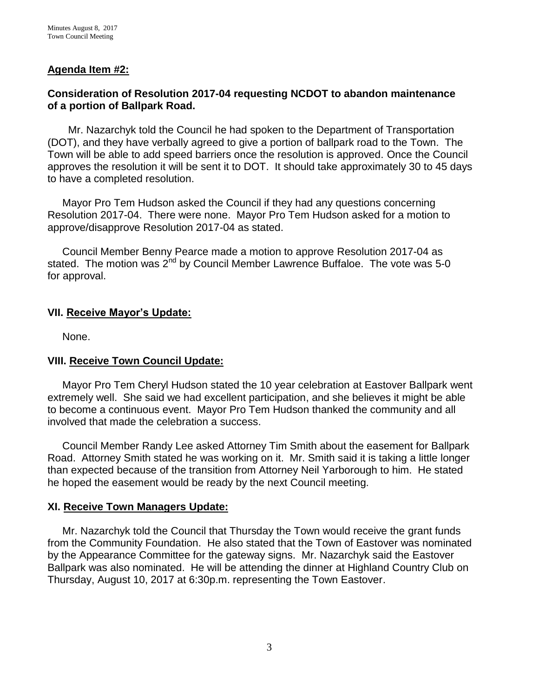## **Agenda Item #2:**

## **Consideration of Resolution 2017-04 requesting NCDOT to abandon maintenance of a portion of Ballpark Road.**

Mr. Nazarchyk told the Council he had spoken to the Department of Transportation (DOT), and they have verbally agreed to give a portion of ballpark road to the Town. The Town will be able to add speed barriers once the resolution is approved. Once the Council approves the resolution it will be sent it to DOT. It should take approximately 30 to 45 days to have a completed resolution.

 Mayor Pro Tem Hudson asked the Council if they had any questions concerning Resolution 2017-04. There were none. Mayor Pro Tem Hudson asked for a motion to approve/disapprove Resolution 2017-04 as stated.

 Council Member Benny Pearce made a motion to approve Resolution 2017-04 as stated. The motion was  $2^{nd}$  by Council Member Lawrence Buffaloe. The vote was 5-0 for approval.

### **VII. Receive Mayor's Update:**

None.

### **VIII. Receive Town Council Update:**

 Mayor Pro Tem Cheryl Hudson stated the 10 year celebration at Eastover Ballpark went extremely well. She said we had excellent participation, and she believes it might be able to become a continuous event. Mayor Pro Tem Hudson thanked the community and all involved that made the celebration a success.

 Council Member Randy Lee asked Attorney Tim Smith about the easement for Ballpark Road. Attorney Smith stated he was working on it. Mr. Smith said it is taking a little longer than expected because of the transition from Attorney Neil Yarborough to him. He stated he hoped the easement would be ready by the next Council meeting.

### **XI. Receive Town Managers Update:**

 Mr. Nazarchyk told the Council that Thursday the Town would receive the grant funds from the Community Foundation. He also stated that the Town of Eastover was nominated by the Appearance Committee for the gateway signs. Mr. Nazarchyk said the Eastover Ballpark was also nominated. He will be attending the dinner at Highland Country Club on Thursday, August 10, 2017 at 6:30p.m. representing the Town Eastover.